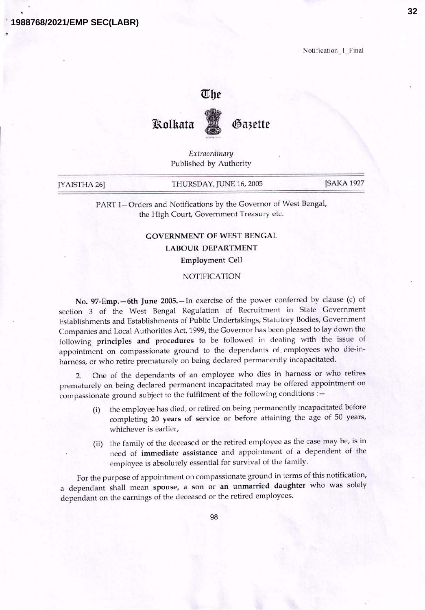**1988768/2021/EMP SEC(LABR)**

Notification<sup>1</sup>\_Final

## The



Gazette

*Extraordinary* Published by Authority

| JYAISTHA 26] | THURSDAY, JUNE 16, 2005 | [SAKA 1927] |
|--------------|-------------------------|-------------|
|--------------|-------------------------|-------------|

PART I-Orders and Notifications by the Governor of West Bengal, the High Court, Government Treasury etc.

## GOVERNMENT OF WEST BENGAL

## LABOUR DEPARTMENT

Employment Cell

## NOTIFICATION

No. 97-Emp.-6th June 2005.-In exercise of the power conferred by clause (c) of section 3 of the West Bengal Regulation of Recruitment in State Government Establishments and Establishments of Public Undertakings, Statutory Bodies, Government Companies and Local Authorities Act, 1999, the Governor has been pleased to lay down the following principles and procedures to be followed in dealing with the issue of appointment on compassionate ground to the dependants of. employees who die-inharness, or who retire prematurely on being declared permanently incapacitated.

2. One of the dependants of an employee who dies in harness or who retires prematurely on being declared permanent incapacitated may be offered appointment on compassionate ground subject to the fulfilment of the following conditions : -

- (i) the employee has died, or retired on being permanently incapacitated before completing 20 years of service or before attaining the age of 50 years, whichever is earlier,
- (ii) the family of the deceased or the retired employee as the case may be, is in need of immediate assistance and appointment of a dependent of the employee is absolutely essential for survival of the family.

For the purpose of appointment on compassionate ground in terms of this notification, a dependant shall mean spouse, a son or an unmarried daughter who was solely dependant on the earnings of the deceased or the retired employees.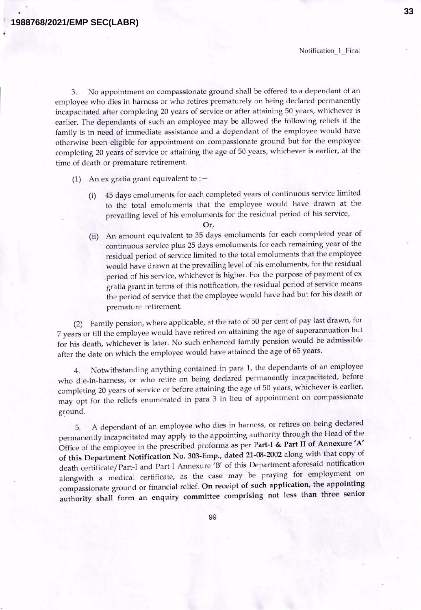**33**

3. No appointment on compassionate ground shall be offered to a dependant of an employee who dies in harness or who retires prematurely on being declared permanently incapacitated after completing 20 years of service or after attaining 50 years, whichever is earlier. The dependants of such an employee may be allowed the following reliefs if the family is in need of immediate assistance and a dependant of the employee would have otherwise been eligible for appointment on compassionate ground but for the employee completing 20 years of service or attaining the age of 50 years, whichever is earlier, at the time of death or premature retirement.

- (1) An ex gratia grant equivalent to :  $-$ 
	- (i) 45 days emoluments for each completed years of continuous service limited to the total emoluments that the employee would have drawn at the prevailing level of his emoluments for the residual period of his service,

Or,

(ii) An amount equivalent to 35 days emoluments for each completed year of continuous service plus 25 days emoluments for each remaining year of the residual period of service limited to the total emoluments that the employee would have drawn at the prevailing level of his emoluments, for the residual period of his service, whichever is higher. For the purpose of payment of ex gratia grant in terms of this notification, the residual period of service means the period of service that the employee would have had but for his death or premature retirement.

(2) Family pension, where applicable, at the rate of 50 per cent of pay last drawn, for 7 years or till the employee would have retired on attaining the age of superannuation but for his death, whichever is later. No such enhanced family pension would be admissible after the date on which the employee would have attained the age of 65 years.

4. Notwithstanding anything contained in para 1, the dependants of an employee who die-in-harness, or who retire on being declared permanently incapacitated, before completing 20 years of service or before attaining the age of 50 years, whichever is earlier, may opt for the reliefs enumerated in para 3 in lieu of appointment on compassionate ground.

5. A dependant of an employee who dies in harness, or retires on being declared permanently incapacitated may apply to the appointing authority through the Head of the Office of the employee in the prescribed proforma as per Part-I & Part II of Annexure' A' of this Department Notification No. 303-Emp., dated 21-08-2002 along with that copy of death certificate/ Part-I and Part-I Annexure 'B' of this Department aforesaid notification alongwith a medical certificate, as the case may be praying for employment on compassionate ground or financial relief. On receipt of such application, the appointing authority shall form an enquiry committee comprising not less than three senior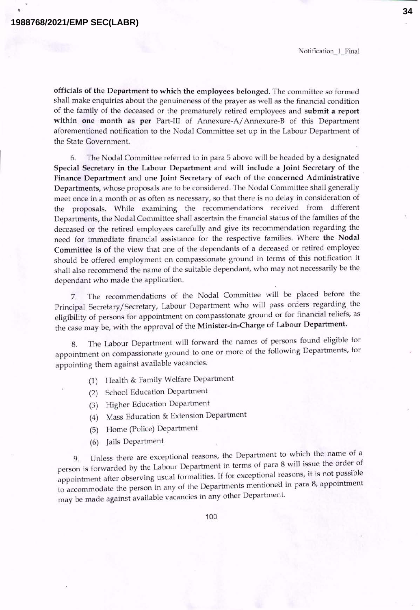Notification 1 Final

officials of the Department to which the employees belonged. The committee so formed shall make enquiries about the genuineness of the prayer as well as the financial condition of the family of the deceased or the prematurely retired employees and submit a report within one month as per Part-III of Annexure-A/Annexure-B of this Department aforementioned notification to the Nodal Committee set up in the Labour Department of the State Government.

6. The Nodal Committee referred to in para 5 above will be headed by a designated Special Secretary in the Labour Department and will include a Joint Secretary of the Finance Department and one Joint Secretary of each of the concerned Administrative Departments, whose proposals are to be considered. The Nodal Committee shall generally meet once in a month or as often as necessary, so that there is no delay in consideration of the proposals. While examining the recommendations received from different Departments, the Nodal Committee shall ascertain the financial status of the families of the deceased or the retired employees carefully and give its recommendation regarding the need for immediate financial assistance for the respective families. Where the Nodal Committee is of the view that one of the dependants of a deceased or retired employee should be offered employment on compassionate ground in terms of this notification it shall also recommend the name of the suitable dependant, who may not necessarily be the dependant who made the application.

7. The recommendations of the Nodal Committee will be placed before the Principal Secretary/Secretary, Labour Department who will pass orders regarding the eligibility of persons for appointment on compassionate ground or for financial reliefs, as the case may be, with the approval of the Minister-in-Charge of Labour Department.

8. The Labour Department will forward the names of persons found eligible for appointment on compassionate ground to one or more of the following Departments, for appointing them against available vacancies.

- (1) Health & Family Welfare Department
- (2) School Education Department
- (3) Higher Education Department
- (4) Mass Education & Extension Department
- (5) Horne (Police) Department
- (6) Jails Department

9. Unless there are exceptional reasons, the Department to which the name of a person is forwarded by the Labour Department in terms of para 8 will issue the order of appointment after observing usual formalities. If for exceptional reasons, it is not possible to accommodate the person in any of the Departments mentioned in para 8, appointment may be made against available vacancies in any other Department.